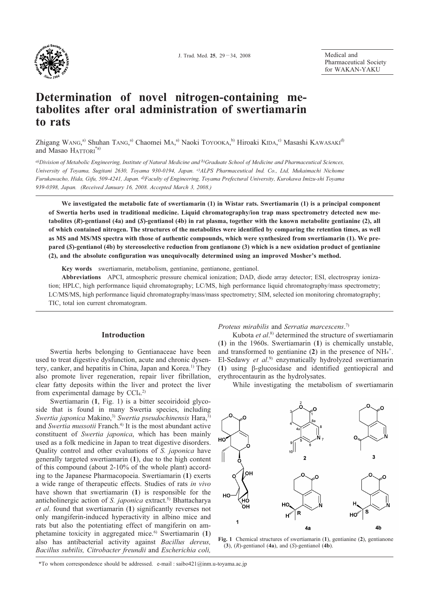

Medical and Pharmaceutical Society for WAKAN-YAKU

# Determination of novel nitrogen-containing metabolites after oral administration of swertiamarin to rats

Zhigang WANG,<sup>a)</sup> Shuhan TANG,<sup>a)</sup> Chaomei MA,<sup>a)</sup> Naoki TOYOOKA,<sup>b)</sup> Hiroaki KIDA,<sup>c)</sup> Masashi KAWASAKI<sup>d)</sup> and Masao HATTORI<sup>\*a)</sup>

a)Division of Metabolic Engineering, Institute of Natural Medicine and b)Graduate School of Medicine and Pharmaceutical Sciences, University of Toyama, Sugitani 2630, Toyama 930-0194, Japan. <sup>c)</sup>ALPS Pharmaceutical Ind. Co., Ltd, Mukaimachi Nichome Furukawacho, Hida, Gifu, 509-4241, Japan. <sup>d)</sup>Faculty of Engineering, Toyama Prefectural University, Kurokawa Imizu-shi Toyama 939-0398, Japan. (Received January 16, 2008. Accepted March 3, 2008.)

We investigated the metabolic fate of swertiamarin (1) in Wistar rats. Swertiamarin (1) is a principal component of Swertia herbs used in traditional medicine. Liquid chromatography/ion trap mass spectrometry detected new metabolites (R)-gentianol (4a) and (S)-gentianol (4b) in rat plasma, together with the known metabolite gentianine (2), all of which contained nitrogen. The structures of the metabolites were identified by comparing the retention times, as well as MS and MS/MS spectra with those of authentic compounds, which were synthesized from swertiamarin (1). We prepared (S)-gentianol (4b) by stereoselective reduction from gentianone (3) which is a new oxidation product of gentianine (2), and the absolute configuration was unequivocally determined using an improved Mosher's method.

Key words swertiamarin, metabolism, gentianine, gentianone, gentianol.

Abbreviations APCI, atmospheric pressure chemical ionization; DAD, diode array detector; ESI, electrospray ionization; HPLC, high performance liquid chromatography; LC/MS, high performance liquid chromatography/mass spectrometry; LC/MS/MS, high performance liquid chromatography/mass/mass spectrometry; SIM, selected ion monitoring chromatography; TIC, total ion current chromatogram.

## **Introduction**

Swertia herbs belonging to Gentianaceae have been used to treat digestive dysfunction, acute and chronic dysentery, canker, and hepatitis in China, Japan and Korea.<sup>1)</sup> They also promote liver regeneration, repair liver fibrillation, clear fatty deposits within the liver and protect the liver from experimental damage by  $CCI<sub>4</sub>$ .<sup>2)</sup>

Swertiamarin (1, Fig. 1) is a bitter secoiridoid glycoside that is found in many Swertia species, including Swertia japonica Makino,<sup>3)</sup> Swertia pseudochinensis Hara,<sup>3)</sup> and Swertia mussotii Franch.<sup>4)</sup> It is the most abundant active constituent of Swertia japonica, which has been mainly used as a folk medicine in Japan to treat digestive disorders. Quality control and other evaluations of S. japonica have generally targeted swertiamarin (1), due to the high content of this compound (about 2-10% of the whole plant) according to the Japanese Pharmacopoeia. Swertiamarin (1) exerts a wide range of therapeutic effects. Studies of rats in vivo have shown that swertiamarin (1) is responsible for the anticholinergic action of S. *japonica* extract.<sup>5)</sup> Bhattacharya et al. found that swertiamarin (1) significantly reverses not only mangiferin-induced hyperactivity in albino mice and rats but also the potentiating effect of mangiferin on amphetamine toxicity in aggregated mice.<sup>6</sup> Swertiamarin (1) also has antibacterial activity against Bacillus dereus, Bacillus subtilis, Citrobacter freundii and Escherichia coli,

Proteus mirabilis and Serratia marcescens.<sup>7)</sup>

Kubota et al.<sup>8)</sup> determined the structure of swertiamarin  $(1)$  in the 1960s. Swertiamarin  $(1)$  is chemically unstable. and transformed to gentianine (2) in the presence of  $NH<sub>4</sub><sup>+</sup>$ . El-Sedawy et  $al$ <sup>9)</sup> enzymatically hydrolyzed swertiamarin (1) using  $\beta$ -glucosidase and identified gentiopicral and erythrocentaurin as the hydrolysates.

While investigating the metabolism of swertiamarin



Fig. 1 Chemical structures of swertiamarin (1), gentianine (2), gentianone  $(3)$ ,  $(R)$ -gentianol  $(4a)$ , and  $(S)$ -gentianol  $(4b)$ .

\*To whom correspondence should be addressed. e-mail: saibo421@inm.u-toyama.ac.jp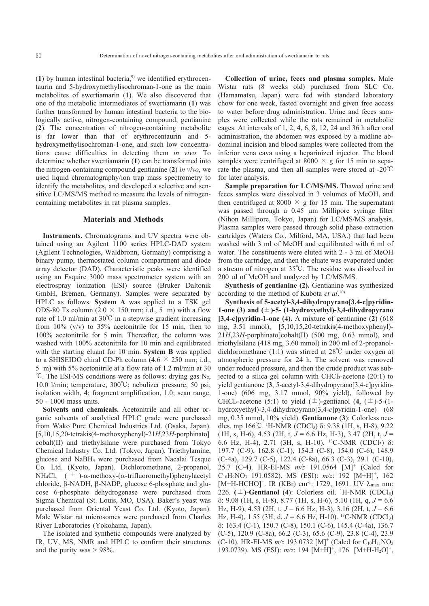$(1)$  by human intestinal bacteria,<sup>9)</sup> we identified erythrocentaurin and 5-hydroxymethylisochroman-1-one as the main metabolites of swertiamarin (1). We also discovered that one of the metabolic intermediates of swertiamarin (1) was further transformed by human intestinal bacteria to the biologically active, nitrogen-containing compound, gentianine (2). The concentration of nitrogen-containing metabolite is far lower than that of erythrocentaurin and 5hydroxymethylisochroman-1-one, and such low concentrations cause difficulties in detecting them in vivo. To determine whether swertiamarin (1) can be transformed into the nitrogen-containing compound gentianine  $(2)$  in vivo, we used liquid chromatography/ion trap mass spectrometry to identify the metabolites, and developed a selective and sensitive LC/MS/MS method to measure the levels of nitrogencontaining metabolites in rat plasma samples.

#### **Materials and Methods**

**Instruments.** Chromatograms and UV spectra were obtained using an Agilent 1100 series HPLC-DAD system (Agilent Technologies, Waldbronn, Germany) comprising a binary pump, thermostated column compartment and diode array detector (DAD). Characteristic peaks were identified using an Esquire 3000 mass spectrometer system with an electrospray ionization (ESI) source (Bruker Daltonik GmbH, Bremen, Germany). Samples were separated by HPLC as follows. System A was applied to a TSK gel ODS-80 Ts column (2.0  $\times$  150 mm; i.d., 5 m) with a flow rate of 1.0 ml/min at 30°C in a stepwise gradient increasing from 10%  $(v/v)$  to 35% acetonitrile for 15 min, then to 100% acetonitrile for 5 min. Thereafter, the column was washed with 100% acetonitrile for 10 min and equilibrated with the starting eluant for 10 min. System B was applied to a SHISEIDO chiral CD-Ph column  $(4.6 \times 250$  mm; i.d., 5 m) with 5% acetonitrile at a flow rate of 1.2 ml/min at 30 °C. The ESI-MS conditions were as follows: drying gas  $N_2$ , 10.0 l/min; temperature,  $300^{\circ}$ C; nebulizer pressure, 50 psi; isolation width, 4; fragment amplification, 1.0; scan range, 50 - 1000 mass units.

Solvents and chemicals. Acetonitrile and all other organic solvents of analytical HPLC grade were purchased from Wako Pure Chemical Industries Ltd. (Osaka, Japan).  $[5,10,15,20-tetrakis(4-methoxyphenyl)-21H,23H-porto]$ cobalt(II) and triethylsilane were purchased from Tokyo Chemical Industry Co. Ltd. (Tokyo, Japan). Triethylamine, glucose and NaBH<sub>4</sub> were purchased from Nacalai Tesque Co. Ltd. (Kyoto, Japan). Dichloromethane, 2-propanol, NH<sub>4</sub>Cl,  $(\pm)$ - $\alpha$ -methoxy- $(\alpha$ -trifluoromethyl)phenylacetyl chloride, β-NADH, β-NADP, glucose 6-phosphate and glucose 6-phosphate dehydrogenase were purchased from Sigma Chemical (St. Louis, MO, USA). Baker's yeast was purchased from Oriental Yeast Co. Ltd. (Kvoto, Japan). Male Wistar rat microsomes were purchased from Charles River Laboratories (Yokohama, Japan).

The isolated and synthetic compounds were analyzed by IR, UV, MS, NMR and HPLC to confirm their structures and the purity was  $> 98\%$ .

Collection of urine, feces and plasma samples. Male Wistar rats (8 weeks old) purchased from SLC Co. (Hamamatsu, Japan) were fed with standard laboratory chow for one week, fasted overnight and given free access to water before drug administration. Urine and feces samples were collected while the rats remained in metabolic cages. At intervals of 1, 2, 4, 6, 8, 12, 24 and 36 h after oral administration, the abdomen was exposed by a midline abdominal incision and blood samples were collected from the inferior vena cava using a heparinized injector. The blood samples were centrifuged at 8000  $\times$  g for 15 min to separate the plasma, and then all samples were stored at  $-20^{\circ}$ C for later analysis.

Sample preparation for LC/MS/MS. Thawed urine and feces samples were dissolved in 3 volumes of MeOH, and then centrifuged at 8000  $\times$  g for 15 min. The supernatant was passed through a 0.45 µm Millipore syringe filter (Nihon Millipore, Tokyo, Japan) for LC/MS/MS analysis. Plasma samples were passed through solid phase extraction cartridges (Waters Co., Milford, MA, USA.) that had been washed with 3 ml of MeOH and equilibrated with 6 ml of water. The constituents were eluted with 2 - 3 ml of MeOH from the cartridge, and then the eluate was evaporated under a stream of nitrogen at  $35^{\circ}$ C. The residue was dissolved in 200 µl of MeOH and analyzed by LC/MS/MS.

Synthesis of gentianine (2). Gentianine was synthesized according to the method of Kubota et  $al$ .<sup>10)</sup>

Synthesis of 5-acetyl-3,4-dihydropyrano[3,4-c]pyridin-1-one (3) and  $(\pm)$ -5- (1-hydroxyethyl)-3,4-dihydropyrano  $[3,4-c]$ pyridin-1-one (4). A mixture of gentianine (2) (618) mg, 3.51 mmol), [5,10,15,20-tetrakis(4-methoxyphenyl)- $21H,23H$ -porphinato]cobalt(II) (500 mg, 0.63 mmol), and triethylsilane (418 mg, 3.60 mmol) in 200 ml of 2-propanoldichloromethane (1:1) was stirred at  $28^{\circ}$ C under oxygen at atmospheric pressure for 24 h. The solvent was removed under reduced pressure, and then the crude product was subjected to a silica gel column with CHCl<sub>3</sub>-acetone (20:1) to yield gentianone (3, 5-acetyl-3,4-dihydropyrano[3,4-c]pyridin-1-one)  $(606 \text{ mg}, 3.17 \text{ mmol}, 90\% \text{ yield})$ , followed by CHCl<sub>3</sub>-acetone (5:1) to yield ( $\pm$ )-gentianol (4, ( $\pm$ )-5-(1hydroxyethyl)-3,4-dihydropyrano $[3,4-c]$ pyridin-1-one)  $(68$ mg, 0.35 mmol, 10% yield). Gentianone (3): Colorless needles. mp  $166^{\circ}$ C. <sup>1</sup>H-NMR (CDCl<sub>3</sub>)  $\delta$ : 9.38 (1H, s, H-8), 9.22  $(H, s, H-6), 4.53$  (2H, t,  $J = 6.6$  Hz, H-3), 3.47 (2H, t,  $J =$ 6.6 Hz, H-4), 2.71 (3H, s, H-10). <sup>13</sup>C-NMR (CDCl<sub>3</sub>) δ: 197.7 (C-9), 162.8 (C-1), 154.3 (C-8), 154.0 (C-6), 148.9 (C-4a), 129.7 (C-5), 122.4 (C-8a), 66.3 (C-3), 29.1 (C-10), 25.7 (C-4). HR-EI-MS  $m/z$  191.0564 [M]<sup>+</sup> (Calcd for  $C_{10}H_9NO_3$  191.0582). MS (ESI):  $m/z$ : 192 [M+H]<sup>+</sup>, 162 [M+H-HCHO]<sup>+</sup>. IR (KBr) cm<sup>-1</sup>: 1729, 1691. UV λ<sub>max</sub> nm: 226.  $(\pm)$ -Gentianol (4): Colorless oil. <sup>1</sup>H-NMR (CDCl<sub>3</sub>)  $\delta$ : 9.08 (1H, s, H-8), 8.77 (1H, s, H-6), 5.10 (1H, g,  $J = 6.6$ ) Hz, H-9), 4.53 (2H, t,  $J = 6.6$  Hz, H-3), 3.16 (2H, t,  $J = 6.6$ Hz, H-4), 1.55 (3H, d,  $J = 6.6$  Hz, H-10). <sup>13</sup>C-NMR (CDCl<sub>3</sub>)  $\delta$ : 163.4 (C-1), 150.7 (C-8), 150.1 (C-6), 145.4 (C-4a), 136.7  $(C-5)$ , 120.9  $(C-8a)$ , 66.2  $(C-3)$ , 65.6  $(C-9)$ , 23.8  $(C-4)$ , 23.9 (C-10). HR-EI-MS  $m/z$  193.0732 [M]<sup>+</sup> (Calcd for C<sub>10</sub>H<sub>11</sub>NO<sub>3</sub> 193.0739). MS (ESI):  $m/z$ : 194 [M+H]<sup>+</sup>, 176 [M+H-H<sub>2</sub>O]<sup>+</sup>,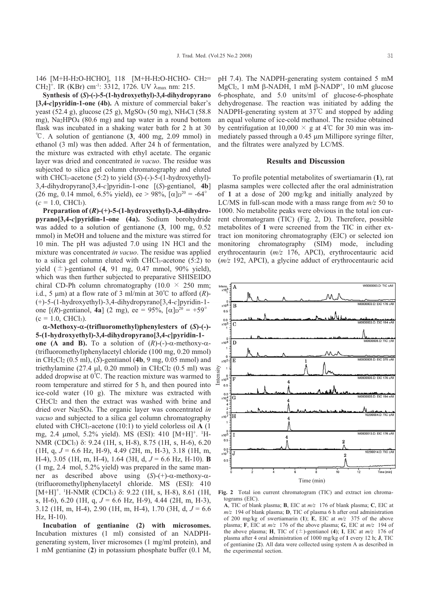146 [М+Н-Н2О-НСНО], 118 [М+Н-Н2О-НСНО- СН2= CH<sub>2</sub><sup>+</sup>. IR (KBr) cm<sup>-1</sup>: 3312, 1726. UV  $\lambda_{\text{max}}$  nm: 215.

Synthesis of  $(S)$ -(-)-5-(1-hydroxyethyl)-3,4-dihydropyrano  $[3,4-c]$  pyridin-1-one (4b). A mixture of commercial baker's yeast (52.4 g), glucose (25 g), MgSO<sub>4</sub> (50 mg), NH<sub>4</sub>Cl (58.8 mg), Na<sub>2</sub>HPO<sub>4</sub> (80.6 mg) and tap water in a round bottom flask was incubated in a shaking water bath for 2 h at 30 °C. A solution of gentianone  $(3, 400 \text{ mg}, 2.09 \text{ mmol})$  in ethanol (3 ml) was then added. After 24 h of fermentation, the mixture was extracted with ethyl acetate. The organic layer was dried and concentrated in vacuo. The residue was subjected to silica gel column chromatography and eluted with CHCl<sub>3</sub>-acetone  $(5:2)$  to yield  $(S)$ - $(-)$ -5- $(1-hydroxyethyl)$ -3,4-dihydropyrano $[3,4-c]$ pyridin-1-one  $[(S)$ -gentianol, 4b] (26 mg, 0.14 mmol, 6.5% yield), ee > 98%,  $\alpha$  |  $\alpha$ <sup>20</sup> = -64°  $(c = 1.0, CHCl<sub>3</sub>)$ .

Preparation of  $(R)$ -(+)-5-(1-hydroxyethyl)-3,4-dihydropyrano[3,4-c]pyridin-1-one (4a). Sodium borohydride was added to a solution of gentianone  $(3, 100 \text{ mg}, 0.52)$ mmol) in MeOH and toluene and the mixture was stirred for 10 min. The pH was adjusted 7.0 using 1N HCl and the mixture was concentrated *in vacuo*. The residue was applied to a silica gel column eluted with  $CHCl<sub>3</sub>$ -acetone (5:2) to yield  $(\pm)$ -gentianol (4, 91 mg, 0.47 mmol, 90% yield), which was then further subjected to preparative SHISEIDO chiral CD-Ph column chromatography (10.0  $\times$  250 mm; i.d., 5  $\mu$ m) at a flow rate of 3 ml/min at 30°C to afford (R)- $(+)$ -5-(1-hydroxyethyl)-3,4-dihydropyrano[3,4-c]pyridin-1one [(R)-gentianol, 4a] (2 mg), ee = 95%,  $\lceil \alpha \rceil p^{20} = +59^{\circ}$  $(c = 1.0, CHCl<sub>3</sub>)$ .

 $\alpha$ -Methoxy- $\alpha$ -(trifluoromethyl)phenylesters of (S)-(-)-5-(1-hydroxyethyl)-3,4-dihydropyrano[3,4-c]pyridin-1one (A and B). To a solution of  $(R)$ -(-)- $\alpha$ -methoxy- $\alpha$ -(trifluoromethyl)phenylacetyl chloride (100 mg, 0.20 mmol) in CH<sub>2</sub>Cl<sub>2</sub> (0.5 ml), (S)-gentianol (4b, 9 mg, 0.05 mmol) and triethylamine (27.4  $\mu$ l, 0.20 mmol) in CH<sub>2</sub>Cl<sub>2</sub> (0.5 ml) was added dropwise at  $0^{\circ}$ C. The reaction mixture was warmed to room temperature and stirred for 5 h, and then poured into ice-cold water (10 g). The mixture was extracted with  $CH<sub>2</sub>Cl<sub>2</sub>$  and then the extract was washed with brine and dried over Na<sub>2</sub>SO<sub>4</sub>. The organic layer was concentrated in vacuo and subjected to a silica gel column chromatography eluted with CHCl<sub>3</sub>-acetone  $(10:1)$  to yield colorless oil A  $(1)$ mg, 2.4 µmol, 5.2% yield). MS (ESI): 410 [M+H]<sup>+</sup>. <sup>1</sup>H-NMR (CDCl<sub>3</sub>) δ: 9.24 (1H, s, H-8), 8.75 (1H, s, H-6), 6.20 (1H, q,  $J = 6.6$  Hz, H-9), 4.49 (2H, m, H-3), 3.18 (1H, m, H-4), 3.05 (1H, m, H-4), 1.64 (3H, d,  $J = 6.6$  Hz, H-10). **B**  $(1 \text{ mg}, 2.4 \text{ mol}, 5.2\% \text{ yield})$  was prepared in the same manner as described above using  $(S)-(+)$ - $\alpha$ -methoxy- $\alpha$ -(trifluoromethyl)phenylacetyl chloride. MS (ESI): 410  $[M+H]^+$ . <sup>1</sup>H-NMR (CDCl<sub>3</sub>)  $\delta$ : 9.22 (1H, s, H-8), 8.61 (1H, s, H-6), 6.20 (1H, g,  $J = 6.6$  Hz, H-9), 4.44 (2H, m, H-3), 3.12 (1H, m, H-4), 2.90 (1H, m, H-4), 1.70 (3H, d,  $J = 6.6$  $Hz. H-10.$ 

Incubation of gentianine (2) with microsomes. Incubation mixtures (1 ml) consisted of an NADPHgenerating system, liver microsomes (1 mg/ml protein), and 1 mM gentianine (2) in potassium phosphate buffer (0.1 M, pH 7.4). The NADPH-generating system contained 5 mM  $MgCl<sub>2</sub>$ , 1 mM  $\beta$ -NADH, 1 mM  $\beta$ -NADP<sup>+</sup>, 10 mM glucose 6-phosphate, and 5.0 units/ml of glucose-6-phosphate dehydrogenase. The reaction was initiated by adding the NADPH-generating system at  $37^{\circ}$ C and stopped by adding an equal volume of ice-cold methanol. The residue obtained by centrifugation at 10,000  $\times$  g at 4°C for 30 min was immediately passed through a 0.45 µm Millipore syringe filter, and the filtrates were analyzed by LC/MS.

## **Results and Discussion**

To profile potential metabolites of swertiamarin (1), rat plasma samples were collected after the oral administration of 1 at a dose of 200 mg/kg and initially analyzed by LC/MS in full-scan mode with a mass range from  $m/z$  50 to 1000. No metabolite peaks were obvious in the total ion current chromatogram (TIC) (Fig. 2, D). Therefore, possible metabolites of 1 were screened from the TIC in either extract ion monitoring chromatography (EIC) or selected ion monitoring chromatography (SIM) mode, including erythrocentaurin  $(m/z$  176, APCI), erythrocentauric acid  $(m/z 192, APCI)$ , a glycine adduct of erythrocentauric acid



Fig. 2 Total ion current chromatogram (TIC) and extract ion chromatograms  $(EIC)$ .

**A.** TIC of blank plasma: **B.** EIC at  $m/z$  176 of blank plasma: **C.** EIC at  $m/z$  194 of blank plasma; **D**, TIC of plasma 6 h after oral administration of 200 mg/kg of swertiamarin (1); E, EIC at  $m/z$  375 of the above plasma; F, EIC at  $m/z$  176 of the above plasma; G, EIC at  $m/z$  194 of the above plasma; H, TIC of  $(\pm)$ -gentianol (4); I, EIC at  $m/z$  176 of plasma after 4 oral administration of 1000 mg/kg of 1 every 12 h; J, TIC of gentianine (2). All data were collected using system A as described in the experimental section.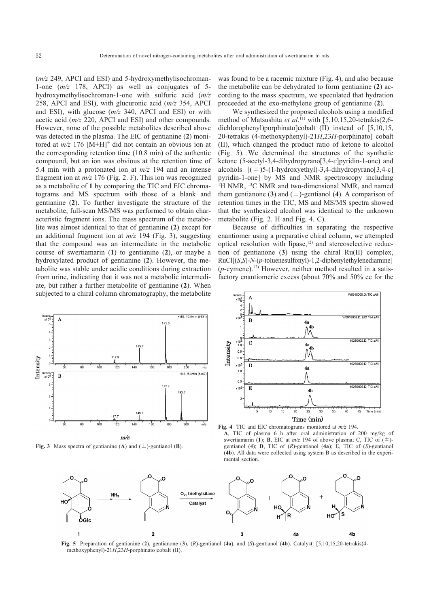$(m/z 249, APCI$  and ESI) and 5-hydroxymethylisochroman-1-one  $(m/z$  178, APCI) as well as conjugates of 5hydroxymethylisochroman-1-one with sulfuric acid  $(m/z)$ 258, APCI and ESI), with glucuronic acid  $(m/z)$  354, APCI and ESI), with glucose  $(m/z)$  340, APCI and ESI) or with acetic acid  $(m/z 220, APCI$  and ESI) and other compounds. However, none of the possible metabolites described above was detected in the plasma. The EIC of gentianine (2) monitored at  $m/z$  176 [M+H]<sup>+</sup> did not contain an obvious ion at the corresponding retention time (10.8 min) of the authentic compound, but an ion was obvious at the retention time of 5.4 min with a protonated ion at  $m/z$  194 and an intense fragment ion at  $m/z$  176 (Fig. 2. F). This ion was recognized as a metabolite of 1 by comparing the TIC and EIC chromatograms and MS spectrum with those of a blank and gentianine (2). To further investigate the structure of the metabolite, full-scan MS/MS was performed to obtain characteristic fragment ions. The mass spectrum of the metabolite was almost identical to that of gentianine (2) except for an additional fragment ion at  $m/z$  194 (Fig. 3), suggesting that the compound was an intermediate in the metabolic course of swertiamarin  $(1)$  to gentianine  $(2)$ , or maybe a hydroxylated product of gentianine (2). However, the metabolite was stable under acidic conditions during extraction from urine, indicating that it was not a metabolic intermediate, but rather a further metabolite of gentianine (2). When subjected to a chiral column chromatography, the metabolite was found to be a racemic mixture (Fig. 4), and also because the metabolite can be dehydrated to form gentianine (2) according to the mass spectrum, we speculated that hydration proceeded at the exo-methylene group of gentianine (2).

We synthesized the proposed alcohols using a modified method of Matsushita et al.<sup>11</sup>) with [5,10,15,20-tetrakis(2,6dichlorophenyl)porphinato]cobalt (II) instead of [5,10,15, 20-tetrakis (4-methoxyphenyl)-21H,23H-porphinato] cobalt (II), which changed the product ratio of ketone to alcohol (Fig. 5). We determined the structures of the synthetic ketone (5-acetyl-3,4-dihydropyrano[3,4-c]pyridin-1-one) and alcohols  $[(\pm)5-(1-hydroxyethyl)-3,4-dihydropyrano[3,4-c]$ pyridin-1-one] by MS and NMR spectroscopy including <sup>1</sup>H NMR, <sup>13</sup>C NMR and two-dimensional NMR, and named them gentianone (3) and ( $\pm$ )-gentianol (4). A comparison of retention times in the TIC, MS and MS/MS spectra showed that the synthesized alcohol was identical to the unknown metabolite (Fig. 2. H and Fig. 4. C).

Because of difficulties in separating the respective enantiomer using a preparative chiral column, we attempted optical resolution with lipase,<sup>12)</sup> and stereoselective reduction of gentianone (3) using the chiral Ru(II) complex,  $RuCI[(S,S)-N-(p-toluenesulfonyl)-1,2-diphenylethylenediamine]$  $(p$ -cymene).<sup>13)</sup> However, neither method resulted in a satisfactory enantiomeric excess (about 70% and 50% ee for the



Fig. 3 Mass spectra of gentianine (A) and ( $\pm$ )-gentianol (B).



Fig. 4 TIC and EIC chromatograms monitored at  $m/z$  194. A, TIC of plasma 6 h after oral administration of 200 mg/kg of swertiamarin (1); **B**, EIC at  $m/z$  194 of above plasma; C, TIC of  $(\pm)$ gentianol (4);  $\hat{D}$ , TIC of (R)-gentianol (4a); E, TIC of (S)-gentianol (4b). All data were collected using system B as described in the experimental section



Fig. 5 Preparation of gentianine (2), gentianone (3),  $(R)$ -gentianol (4a), and  $(S)$ -gentianol (4b). Catalyst: [5,10,15,20-tetrakis(4methoxyphenyl)-21H,23H-porphinato]cobalt (II).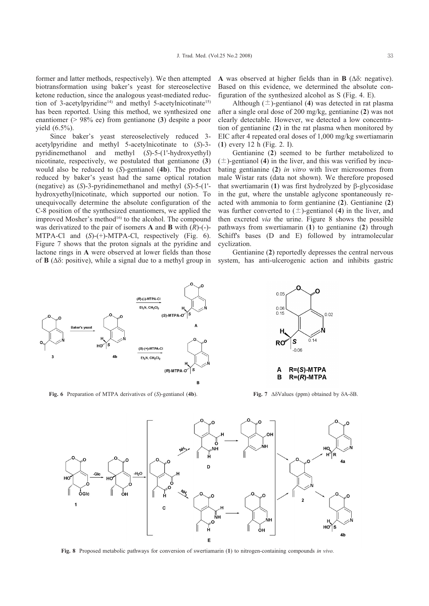former and latter methods, respectively). We then attempted biotransformation using baker's yeast for stereoselective ketone reduction, since the analogous veast-mediated reduction of 3-acetylpyridine<sup>14)</sup> and methyl 5-acetylnicotinate<sup>15)</sup> has been reported. Using this method, we synthesized one enantiomer (>  $98\%$  ee) from gentianone (3) despite a poor yield  $(6.5\%)$ .

Since baker's yeast stereoselectively reduced 3acetylpyridine and methyl 5-acetylnicotinate to (S)-3pyridinemethanol and methyl (S)-5-(1'-hydroxyethyl) nicotinate, respectively, we postulated that gentianone (3) would also be reduced to  $(S)$ -gentianol  $(4b)$ . The product reduced by baker's yeast had the same optical rotation (negative) as  $(S)$ -3-pyridinemethanol and methyl  $(S)$ -5- $(1'$ hydroxyethyl)nicotinate, which supported our notion. To unequivocally determine the absolute configuration of the C-8 position of the synthesized enantiomers, we applied the improved Mosher's method<sup>16)</sup> to the alcohol. The compound was derivatized to the pair of isomers **A** and **B** with  $(R)$ - $(\text{-})$ -MTPA-Cl and  $(S)-(+)$ -MTPA-Cl, respectively (Fig. 6). Figure 7 shows that the proton signals at the pyridine and lactone rings in A were observed at lower fields than those of **B** ( $\Delta\delta$ : positive), while a signal due to a methyl group in A was observed at higher fields than in  $\bf{B}$  ( $\Delta \delta$ : negative). Based on this evidence, we determined the absolute configuration of the synthesized alcohol as S (Fig. 4, E).

Although  $(\pm)$ -gentianol (4) was detected in rat plasma after a single oral dose of 200 mg/kg, gentianine (2) was not clearly detectable. However, we detected a low concentration of gentianine (2) in the rat plasma when monitored by EIC after 4 repeated oral doses of 1,000 mg/kg swertiamarin  $(1)$  every 12 h (Fig. 2. I).

Gentianine (2) seemed to be further metabolized to  $(\pm)$ -gentianol (4) in the liver, and this was verified by incubating gentianine  $(2)$  in vitro with liver microsomes from male Wistar rats (data not shown). We therefore proposed that swertiamarin  $(1)$  was first hydrolyzed by  $\beta$ -glycosidase in the gut, where the unstable aglycone spontaneously reacted with ammonia to form gentianine (2). Gentianine (2) was further converted to  $(\pm)$ -gentianol (4) in the liver, and then excreted *via* the urine. Figure 8 shows the possible pathways from swertiamarin (1) to gentianine (2) through Schiff's bases (D and E) followed by intramolecular cyclization.

Gentianine (2) reportedly depresses the central nervous system, has anti-ulcerogenic action and inhibits gastric



Fig. 6 Preparation of MTPA derivatives of  $(S)$ -gentianol  $(4b)$ .



Fig. 7  $\Delta \delta$ Values (ppm) obtained by  $\delta$ A- $\delta$ B.



Fig. 8 Proposed metabolic pathways for conversion of swertiamarin  $(1)$  to nitrogen-containing compounds in vivo.